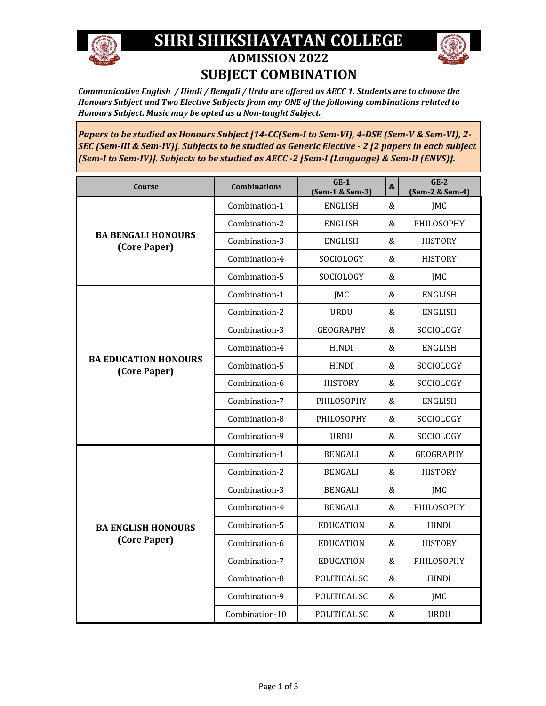

## **SHRI SHIKSHAYATAN COLLEGE ADMISSION 2022 SUBJECT COMBINATION**



*Communicative English / Hindi / Bengali / Urdu are offered as AECC 1. Students are to choose the Honours Subject and Two Elective Subjects from any ONE of the following combinations related to Honours Subject. Music may be opted as a Non-taught Subject.*

*Papers to be studied as Honours Subject [14-CC(Sem-I to Sem-VI), 4-DSE (Sem-V & Sem-VI), 2- SEC (Sem-III & Sem-IV)]. Subjects to be studied as Generic Elective - 2 [2 papers in each subject (Sem-I to Sem-IV)]. Subjects to be studied as AECC -2 [Sem-I (Language) & Sem-II (ENVS)].*

| <b>Course</b>                               | <b>Combinations</b> | $GE-1$<br>(Sem-1 & Sem-3) | & | $GE-2$<br>(Sem-2 & Sem-4) |
|---------------------------------------------|---------------------|---------------------------|---|---------------------------|
| <b>BA BENGALI HONOURS</b><br>(Core Paper)   | Combination-1       | <b>ENGLISH</b>            | & | <b>JMC</b>                |
|                                             | Combination-2       | <b>ENGLISH</b>            | & | PHILOSOPHY                |
|                                             | Combination-3       | <b>ENGLISH</b>            | & | <b>HISTORY</b>            |
|                                             | Combination-4       | SOCIOLOGY                 | & | <b>HISTORY</b>            |
|                                             | Combination-5       | SOCIOLOGY                 | & | <b>IMC</b>                |
| <b>BA EDUCATION HONOURS</b><br>(Core Paper) | Combination-1       | JMC                       | & | <b>ENGLISH</b>            |
|                                             | Combination-2       | <b>URDU</b>               | & | <b>ENGLISH</b>            |
|                                             | Combination-3       | <b>GEOGRAPHY</b>          | & | SOCIOLOGY                 |
|                                             | Combination-4       | <b>HINDI</b>              | & | <b>ENGLISH</b>            |
|                                             | Combination-5       | <b>HINDI</b>              | & | SOCIOLOGY                 |
|                                             | Combination-6       | <b>HISTORY</b>            | & | SOCIOLOGY                 |
|                                             | Combination-7       | PHILOSOPHY                | & | <b>ENGLISH</b>            |
|                                             | Combination-8       | PHILOSOPHY                | & | SOCIOLOGY                 |
|                                             | Combination-9       | <b>URDU</b>               | & | SOCIOLOGY                 |
| <b>BA ENGLISH HONOURS</b><br>(Core Paper)   | Combination-1       | <b>BENGALI</b>            | & | <b>GEOGRAPHY</b>          |
|                                             | Combination-2       | <b>BENGALI</b>            | & | <b>HISTORY</b>            |
|                                             | Combination-3       | <b>BENGALI</b>            | & | <b>IMC</b>                |
|                                             | Combination-4       | <b>BENGALI</b>            | & | PHILOSOPHY                |
|                                             | Combination-5       | <b>EDUCATION</b>          | & | <b>HINDI</b>              |
|                                             | Combination-6       | <b>EDUCATION</b>          | & | <b>HISTORY</b>            |
|                                             | Combination-7       | <b>EDUCATION</b>          | & | PHILOSOPHY                |
|                                             | Combination-8       | POLITICAL SC              | & | <b>HINDI</b>              |
|                                             | Combination-9       | POLITICAL SC              | & | <b>JMC</b>                |
|                                             | Combination-10      | POLITICAL SC              | & | <b>URDU</b>               |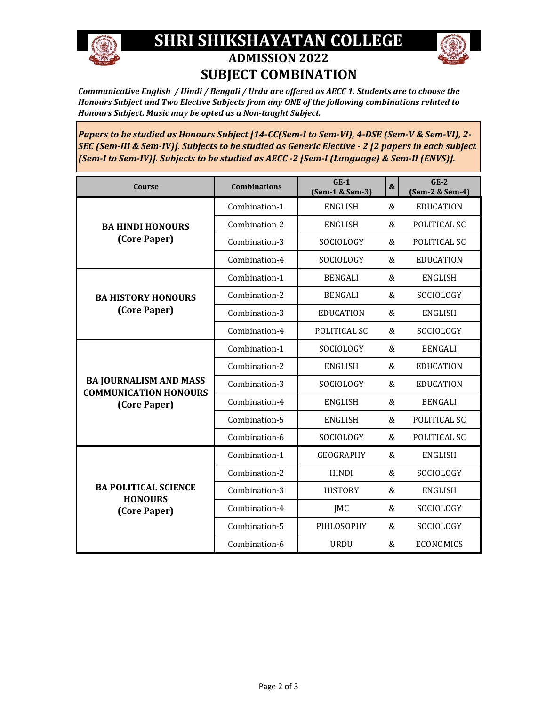

## **SHRI SHIKSHAYATAN COLLEGE ADMISSION 2022 SUBJECT COMBINATION**



*Communicative English / Hindi / Bengali / Urdu are offered as AECC 1. Students are to choose the Honours Subject and Two Elective Subjects from any ONE of the following combinations related to Honours Subject. Music may be opted as a Non-taught Subject.*

*Papers to be studied as Honours Subject [14-CC(Sem-I to Sem-VI), 4-DSE (Sem-V & Sem-VI), 2- SEC (Sem-III & Sem-IV)]. Subjects to be studied as Generic Elective - 2 [2 papers in each subject (Sem-I to Sem-IV)]. Subjects to be studied as AECC -2 [Sem-I (Language) & Sem-II (ENVS)].*

| Course                                                                        | <b>Combinations</b> | $GE-1$<br>(Sem-1 & Sem-3) | & | $GE-2$<br>(Sem-2 & Sem-4) |
|-------------------------------------------------------------------------------|---------------------|---------------------------|---|---------------------------|
| <b>BA HINDI HONOURS</b><br>(Core Paper)                                       | Combination-1       | <b>ENGLISH</b>            | & | <b>EDUCATION</b>          |
|                                                                               | Combination-2       | <b>ENGLISH</b>            | & | POLITICAL SC              |
|                                                                               | Combination-3       | SOCIOLOGY                 | & | POLITICAL SC              |
|                                                                               | Combination-4       | SOCIOLOGY                 | & | <b>EDUCATION</b>          |
| <b>BA HISTORY HONOURS</b><br>(Core Paper)                                     | Combination-1       | <b>BENGALI</b>            | & | <b>ENGLISH</b>            |
|                                                                               | Combination-2       | <b>BENGALI</b>            | & | SOCIOLOGY                 |
|                                                                               | Combination-3       | <b>EDUCATION</b>          | & | <b>ENGLISH</b>            |
|                                                                               | Combination-4       | POLITICAL SC              | & | SOCIOLOGY                 |
| <b>BA JOURNALISM AND MASS</b><br><b>COMMUNICATION HONOURS</b><br>(Core Paper) | Combination-1       | SOCIOLOGY                 | & | <b>BENGALI</b>            |
|                                                                               | Combination-2       | <b>ENGLISH</b>            | & | <b>EDUCATION</b>          |
|                                                                               | Combination-3       | SOCIOLOGY                 | & | <b>EDUCATION</b>          |
|                                                                               | Combination-4       | <b>ENGLISH</b>            | & | <b>BENGALI</b>            |
|                                                                               | Combination-5       | <b>ENGLISH</b>            | & | POLITICAL SC              |
|                                                                               | Combination-6       | SOCIOLOGY                 | & | POLITICAL SC              |
| <b>BA POLITICAL SCIENCE</b><br><b>HONOURS</b><br>(Core Paper)                 | Combination-1       | <b>GEOGRAPHY</b>          | & | <b>ENGLISH</b>            |
|                                                                               | Combination-2       | <b>HINDI</b>              | & | SOCIOLOGY                 |
|                                                                               | Combination-3       | <b>HISTORY</b>            | & | <b>ENGLISH</b>            |
|                                                                               | Combination-4       | JMC                       | & | SOCIOLOGY                 |
|                                                                               | Combination-5       | PHILOSOPHY                | & | SOCIOLOGY                 |
|                                                                               | Combination-6       | <b>URDU</b>               | & | <b>ECONOMICS</b>          |